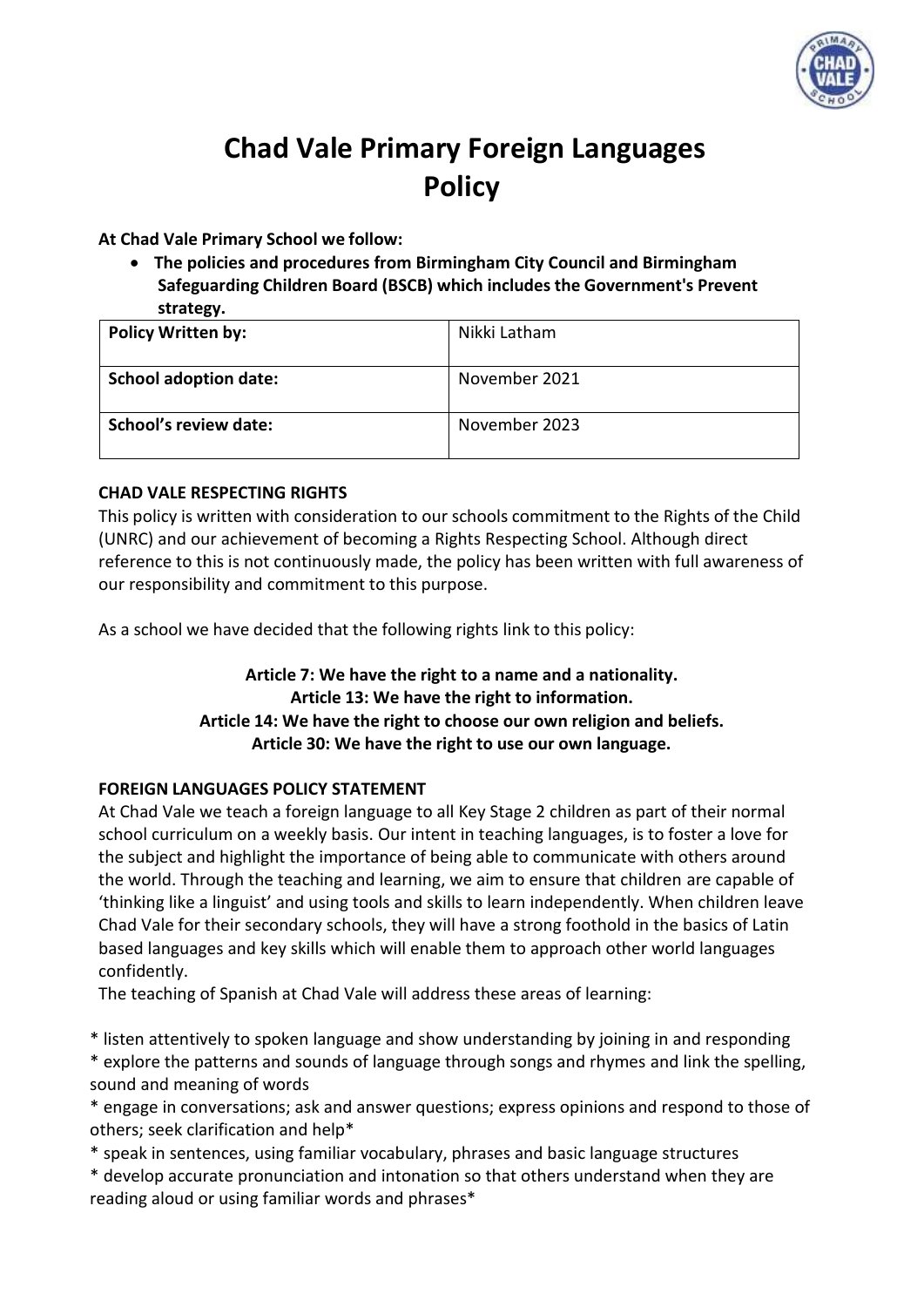

# **Chad Vale Primary Foreign Languages Policy**

**At Chad Vale Primary School we follow:**

• **The policies and procedures from Birmingham City Council and Birmingham Safeguarding Children Board (BSCB) which includes the Government's Prevent strategy.**

| $- - - - - - -$              |               |
|------------------------------|---------------|
| <b>Policy Written by:</b>    | Nikki Latham  |
| <b>School adoption date:</b> | November 2021 |
| School's review date:        | November 2023 |

# **CHAD VALE RESPECTING RIGHTS**

This policy is written with consideration to our schools commitment to the Rights of the Child (UNRC) and our achievement of becoming a Rights Respecting School. Although direct reference to this is not continuously made, the policy has been written with full awareness of our responsibility and commitment to this purpose.

As a school we have decided that the following rights link to this policy:

# **Article 7: We have the right to a name and a nationality. Article 13: We have the right to information. Article 14: We have the right to choose our own religion and beliefs. Article 30: We have the right to use our own language.**

# **FOREIGN LANGUAGES POLICY STATEMENT**

At Chad Vale we teach a foreign language to all Key Stage 2 children as part of their normal school curriculum on a weekly basis. Our intent in teaching languages, is to foster a love for the subject and highlight the importance of being able to communicate with others around the world. Through the teaching and learning, we aim to ensure that children are capable of 'thinking like a linguist' and using tools and skills to learn independently. When children leave Chad Vale for their secondary schools, they will have a strong foothold in the basics of Latin based languages and key skills which will enable them to approach other world languages confidently.

The teaching of Spanish at Chad Vale will address these areas of learning:

\* listen attentively to spoken language and show understanding by joining in and responding

\* explore the patterns and sounds of language through songs and rhymes and link the spelling, sound and meaning of words

\* engage in conversations; ask and answer questions; express opinions and respond to those of others; seek clarification and help\*

\* speak in sentences, using familiar vocabulary, phrases and basic language structures

\* develop accurate pronunciation and intonation so that others understand when they are reading aloud or using familiar words and phrases\*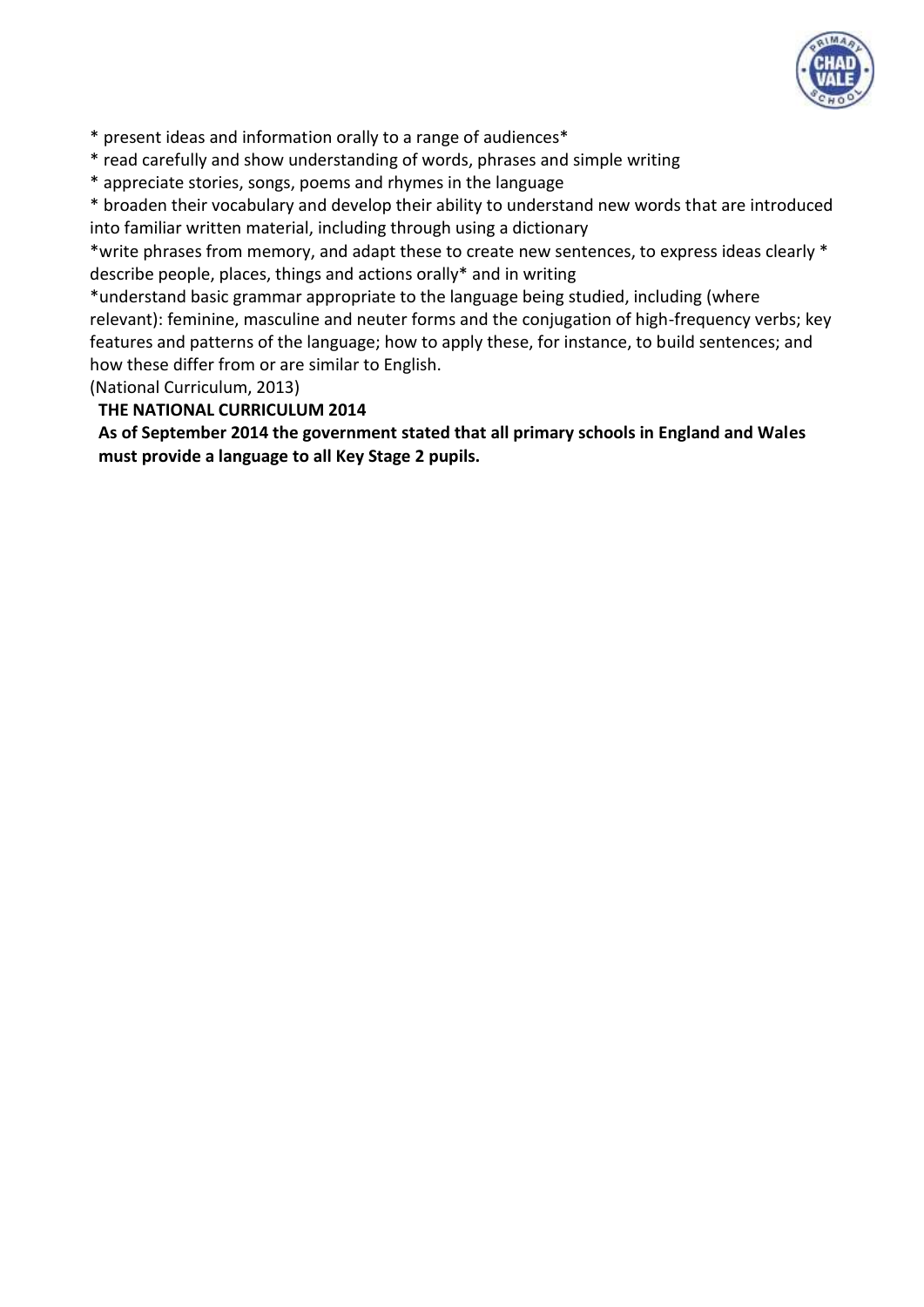

\* present ideas and information orally to a range of audiences\*

- \* read carefully and show understanding of words, phrases and simple writing
- \* appreciate stories, songs, poems and rhymes in the language

\* broaden their vocabulary and develop their ability to understand new words that are introduced into familiar written material, including through using a dictionary

\*write phrases from memory, and adapt these to create new sentences, to express ideas clearly \* describe people, places, things and actions orally\* and in writing

\*understand basic grammar appropriate to the language being studied, including (where relevant): feminine, masculine and neuter forms and the conjugation of high-frequency verbs; key features and patterns of the language; how to apply these, for instance, to build sentences; and how these differ from or are similar to English.

(National Curriculum, 2013)

#### **THE NATIONAL CURRICULUM 2014**

**As of September 2014 the government stated that all primary schools in England and Wales must provide a language to all Key Stage 2 pupils.**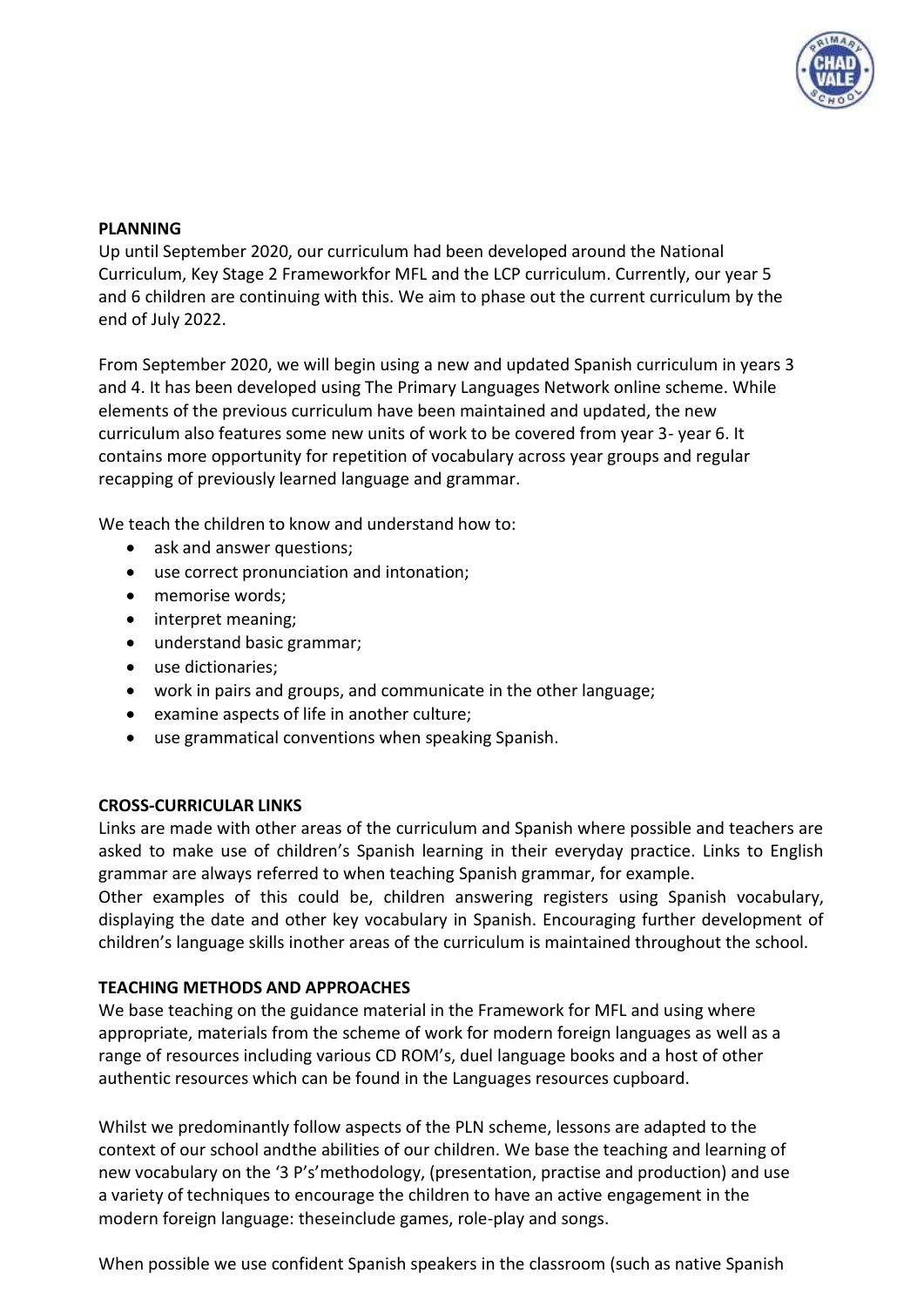

## **PLANNING**

Up until September 2020, our curriculum had been developed around the National Curriculum, Key Stage 2 Frameworkfor MFL and the LCP curriculum. Currently, our year 5 and 6 children are continuing with this. We aim to phase out the current curriculum by the end of July 2022.

From September 2020, we will begin using a new and updated Spanish curriculum in years 3 and 4. It has been developed using The Primary Languages Network online scheme. While elements of the previous curriculum have been maintained and updated, the new curriculum also features some new units of work to be covered from year 3- year 6. It contains more opportunity for repetition of vocabulary across year groups and regular recapping of previously learned language and grammar.

We teach the children to know and understand how to:

- ask and answer questions;
- use correct pronunciation and intonation;
- memorise words;
- interpret meaning;
- understand basic grammar;
- use dictionaries;
- work in pairs and groups, and communicate in the other language;
- examine aspects of life in another culture;
- use grammatical conventions when speaking Spanish.

#### **CROSS-CURRICULAR LINKS**

Links are made with other areas of the curriculum and Spanish where possible and teachers are asked to make use of children's Spanish learning in their everyday practice. Links to English grammar are always referred to when teaching Spanish grammar, for example. Other examples of this could be, children answering registers using Spanish vocabulary,

displaying the date and other key vocabulary in Spanish. Encouraging further development of children's language skills inother areas of the curriculum is maintained throughout the school.

#### **TEACHING METHODS AND APPROACHES**

We base teaching on the guidance material in the Framework for MFL and using where appropriate, materials from the scheme of work for modern foreign languages as well as a range of resources including various CD ROM's, duel language books and a host of other authentic resources which can be found in the Languages resources cupboard.

Whilst we predominantly follow aspects of the PLN scheme, lessons are adapted to the context of our school andthe abilities of our children. We base the teaching and learning of new vocabulary on the '3 P's'methodology, (presentation, practise and production) and use a variety of techniques to encourage the children to have an active engagement in the modern foreign language: theseinclude games, role-play and songs.

When possible we use confident Spanish speakers in the classroom (such as native Spanish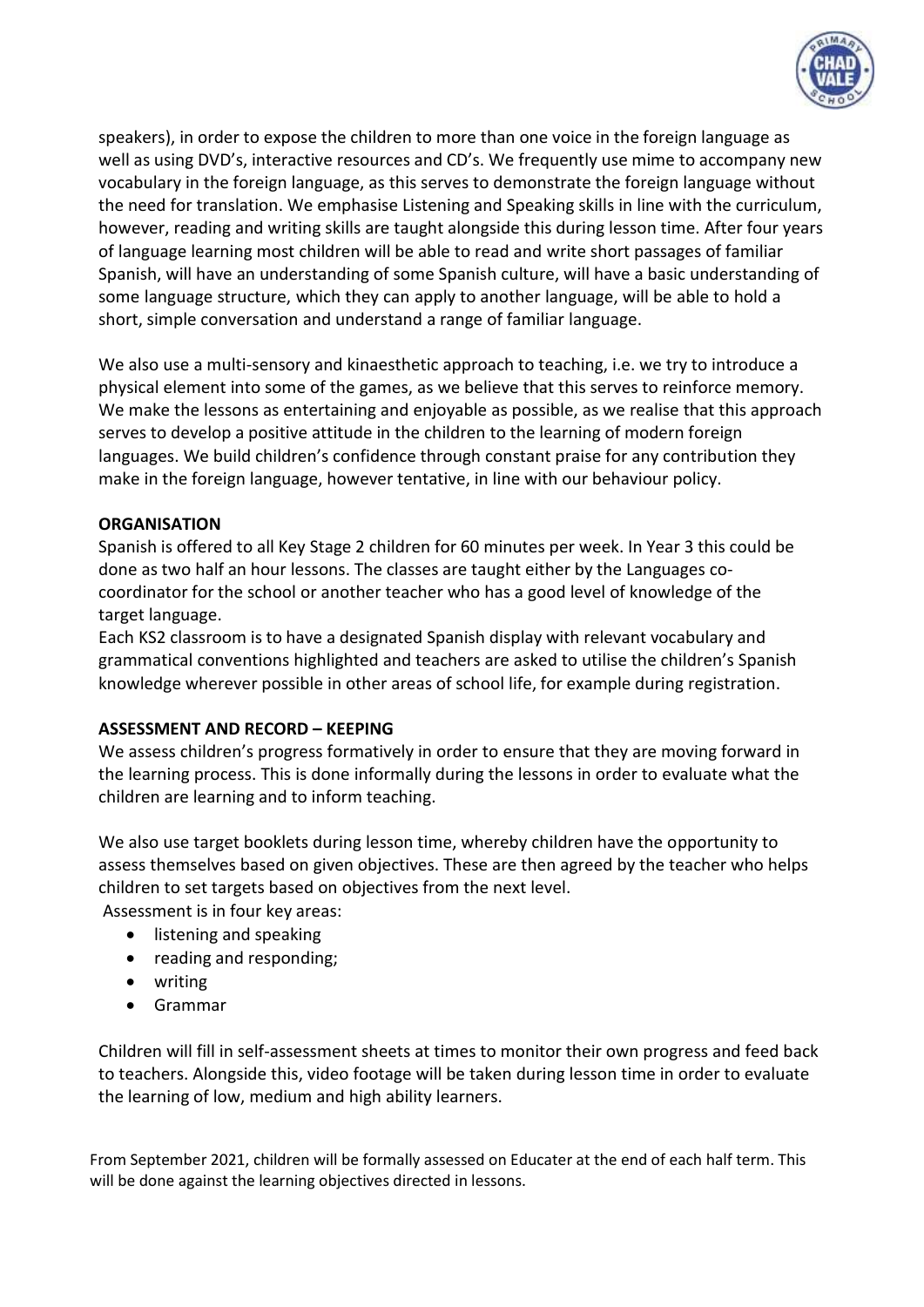

speakers), in order to expose the children to more than one voice in the foreign language as well as using DVD's, interactive resources and CD's. We frequently use mime to accompany new vocabulary in the foreign language, as this serves to demonstrate the foreign language without the need for translation. We emphasise Listening and Speaking skills in line with the curriculum, however, reading and writing skills are taught alongside this during lesson time. After four years of language learning most children will be able to read and write short passages of familiar Spanish, will have an understanding of some Spanish culture, will have a basic understanding of some language structure, which they can apply to another language, will be able to hold a short, simple conversation and understand a range of familiar language.

We also use a multi-sensory and kinaesthetic approach to teaching, i.e. we try to introduce a physical element into some of the games, as we believe that this serves to reinforce memory. We make the lessons as entertaining and enjoyable as possible, as we realise that this approach serves to develop a positive attitude in the children to the learning of modern foreign languages. We build children's confidence through constant praise for any contribution they make in the foreign language, however tentative, in line with our behaviour policy.

## **ORGANISATION**

Spanish is offered to all Key Stage 2 children for 60 minutes per week. In Year 3 this could be done as two half an hour lessons. The classes are taught either by the Languages cocoordinator for the school or another teacher who has a good level of knowledge of the target language.

Each KS2 classroom is to have a designated Spanish display with relevant vocabulary and grammatical conventions highlighted and teachers are asked to utilise the children's Spanish knowledge wherever possible in other areas of school life, for example during registration.

## **ASSESSMENT AND RECORD – KEEPING**

We assess children's progress formatively in order to ensure that they are moving forward in the learning process. This is done informally during the lessons in order to evaluate what the children are learning and to inform teaching.

We also use target booklets during lesson time, whereby children have the opportunity to assess themselves based on given objectives. These are then agreed by the teacher who helps children to set targets based on objectives from the next level.

Assessment is in four key areas:

- listening and speaking
- reading and responding;
- writing
- Grammar

Children will fill in self-assessment sheets at times to monitor their own progress and feed back to teachers. Alongside this, video footage will be taken during lesson time in order to evaluate the learning of low, medium and high ability learners.

From September 2021, children will be formally assessed on Educater at the end of each half term. This will be done against the learning objectives directed in lessons.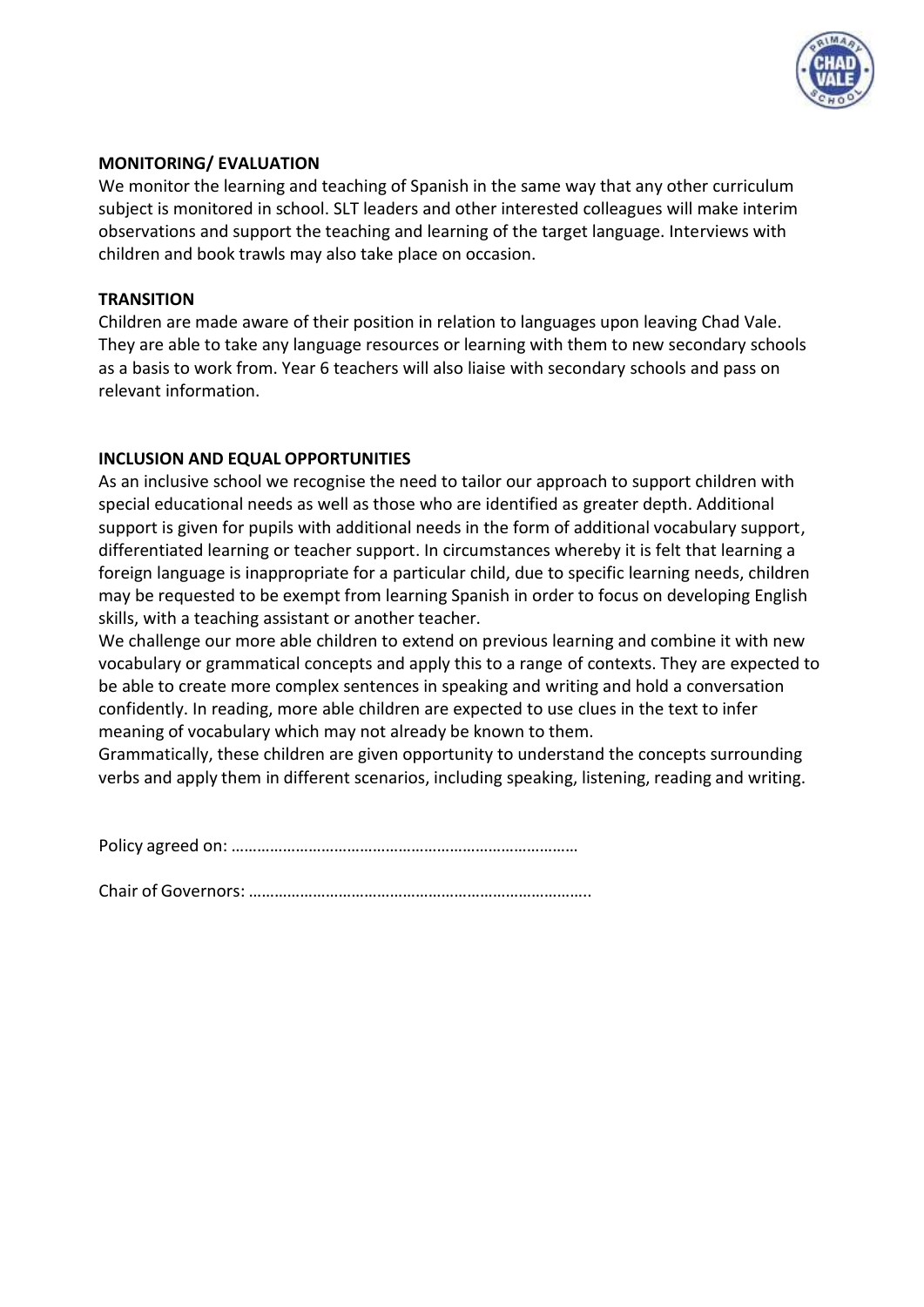

## **MONITORING/ EVALUATION**

We monitor the learning and teaching of Spanish in the same way that any other curriculum subject is monitored in school. SLT leaders and other interested colleagues will make interim observations and support the teaching and learning of the target language. Interviews with children and book trawls may also take place on occasion.

## **TRANSITION**

Children are made aware of their position in relation to languages upon leaving Chad Vale. They are able to take any language resources or learning with them to new secondary schools as a basis to work from. Year 6 teachers will also liaise with secondary schools and pass on relevant information.

# **INCLUSION AND EQUAL OPPORTUNITIES**

As an inclusive school we recognise the need to tailor our approach to support children with special educational needs as well as those who are identified as greater depth. Additional support is given for pupils with additional needs in the form of additional vocabulary support, differentiated learning or teacher support. In circumstances whereby it is felt that learning a foreign language is inappropriate for a particular child, due to specific learning needs, children may be requested to be exempt from learning Spanish in order to focus on developing English skills, with a teaching assistant or another teacher.

We challenge our more able children to extend on previous learning and combine it with new vocabulary or grammatical concepts and apply this to a range of contexts. They are expected to be able to create more complex sentences in speaking and writing and hold a conversation confidently. In reading, more able children are expected to use clues in the text to infer meaning of vocabulary which may not already be known to them.

Grammatically, these children are given opportunity to understand the concepts surrounding verbs and apply them in different scenarios, including speaking, listening, reading and writing.

Policy agreed on: ………………………………………………………………………

Chair of Governors: ……………………………………………………………………..